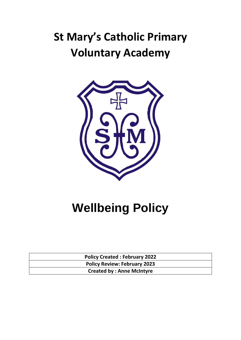# **St Mary's Catholic Primary Voluntary Academy**



# **Wellbeing Policy**

| <b>Policy Created: February 2022</b> |
|--------------------------------------|
| <b>Policy Review: February 2023</b>  |
| <b>Created by: Anne McIntyre</b>     |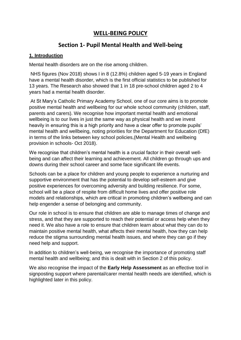### **WELL-BEING POLICY**

### **Section 1- Pupil Mental Health and Well-being**

#### **1. Introduction**

Mental health disorders are on the rise among children.

NHS figures (Nov 2018) shows I in 8 (12.8%) children aged 5-19 years in England have a mental health disorder, which is the first official statistics to be published for 13 years. The Research also showed that 1 in 18 pre-school children aged 2 to 4 years had a mental health disorder.

At St Mary's Catholic Primary Academy School, one of our core aims is to promote positive mental health and wellbeing for our whole school community (children, staff, parents and carers). We recognise how important mental health and emotional wellbeing is to our lives in just the same way as physical health and we invest heavily in ensuring this is a high priority and have a clear offer to promote pupils' mental health and wellbeing, noting priorities for the Department for Education (DfE) in terms of the links between key school policies,(Mental Health and wellbeing provision in schools- Oct 2018).

We recognise that children's mental health is a crucial factor in their overall wellbeing and can affect their learning and achievement. All children go through ups and downs during their school career and some face significant life events.

Schools can be a place for children and young people to experience a nurturing and supportive environment that has the potential to develop self-esteem and give positive experiences for overcoming adversity and building resilience. For some, school will be a place of respite from difficult home lives and offer positive role models and relationships, which are critical in promoting children's wellbeing and can help engender a sense of belonging and community.

Our role in school is to ensure that children are able to manage times of change and stress, and that they are supported to reach their potential or access help when they need it. We also have a role to ensure that children learn about what they can do to maintain positive mental health, what affects their mental health, how they can help reduce the stigma surrounding mental health issues, and where they can go if they need help and support.

In addition to children's well-being, we recognise the importance of promoting staff mental health and wellbeing; and this is dealt with in Section 2 of this policy.

We also recognise the impact of the **Early Help Assessment** as an effective tool in signposting support where parental/carer mental health needs are identified, which is highlighted later in this policy.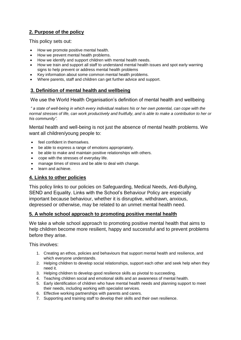#### **2. Purpose of the policy**

This policy sets out:

- How we promote positive mental health.
- How we prevent mental health problems.
- How we identify and support children with mental health needs.
- How we train and support all staff to understand mental health issues and spot early warning signs to help prevent or address mental health problems
- Key information about some common mental health problems.
- Where parents, staff and children can get further advice and support.

#### **3. Definition of mental health and wellbeing**

We use the World Health Organisation's definition of mental health and wellbeing

*" a state of well-being in which every individual realises his or her own potential, can cope with the normal stresses of life, can work productively and fruitfully, and is able to make a contribution to her or his community".* 

Mental health and well-being is not just the absence of mental health problems. We want all children/young people to:

- feel confident in themselves.
- be able to express a range of emotions appropriately.
- be able to make and maintain positive relationships with others.
- cope with the stresses of everyday life.
- manage times of stress and be able to deal with change.
- learn and achieve.

#### **4. Links to other policies**

This policy links to our policies on Safeguarding, Medical Needs, Anti-Bullying, SEND and Equality. Links with the School's Behaviour Policy are especially important because behaviour, whether it is disruptive, withdrawn, anxious, depressed or otherwise, may be related to an unmet mental health need.

#### **5. A whole school approach to promoting positive mental health**

We take a whole school approach to promoting positive mental health that aims to help children become more resilient, happy and successful and to prevent problems before they arise.

This involves:

- 1. Creating an ethos, policies and behaviours that support mental health and resilience, and which everyone understands.
- 2. Helping children to develop social relationships, support each other and seek help when they need it.
- 3. Helping children to develop good resilience skills as pivotal to succeeding.
- 4. Teaching children social and emotional skills and an awareness of mental health.
- 5. Early identification of children who have mental health needs and planning support to meet their needs, including working with specialist services.
- 6. Effective working partnerships with parents and carers.
- 7. Supporting and training staff to develop their skills and their own resilience.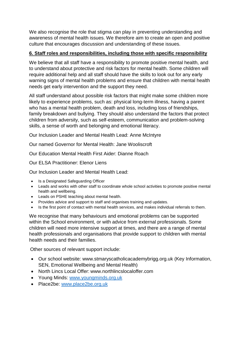We also recognise the role that stigma can play in preventing understanding and awareness of mental health issues. We therefore aim to create an open and positive culture that encourages discussion and understanding of these issues.

#### **6. Staff roles and responsibilities, including those with specific responsibility**

We believe that all staff have a responsibility to promote positive mental health, and to understand about protective and risk factors for mental health. Some children will require additional help and all staff should have the skills to look out for any early warning signs of mental health problems and ensure that children with mental health needs get early intervention and the support they need.

All staff understand about possible risk factors that might make some children more likely to experience problems, such as: physical long-term illness, having a parent who has a mental health problem, death and loss, including loss of friendships, family breakdown and bullying. They should also understand the factors that protect children from adversity, such as self-esteem, communication and problem-solving skills, a sense of worth and belonging and emotional literacy.

Our Inclusion Leader and Mental Health Lead: Anne McIntyre

Our named Governor for Mental Health: Jane Wooliscroft

Our Education Mental Health First Aider: Dianne Roach

Our ELSA Practitioner: Elenor Liens

Our Inclusion Leader and Mental Health Lead:

- Is a Designated Safeguarding Officer
- Leads and works with other staff to coordinate whole school activities to promote positive mental health and wellbeing.
- Leads on PSHE teaching about mental health.
- Provides advice and support to staff and organises training and updates.
- Is the first point of contact with mental health services, and makes individual referrals to them.

We recognise that many behaviours and emotional problems can be supported within the School environment, or with advice from external professionals. Some children will need more intensive support at times, and there are a range of mental health professionals and organisations that provide support to children with mental health needs and their families.

Other sources of relevant support include:

- Our school website: www.stmaryscatholicacademybrigg.org.uk (Key Information, SEN, Emotional Wellbeing and Mental Health)
- North Lincs Local Offer: www.northlincslocaloffer.com
- Young Minds: [www.youngminds.org.uk](http://www.youngminds.org.uk/)
- Place2be: [www.place2be.org.uk](http://www.place2be.org.uk/)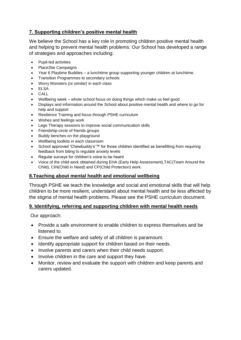#### **7. Supporting children's positive mental health**

We believe the School has a key role in promoting children positive mental health and helping to prevent mental health problems. Our School has developed a range of strategies and approaches including:

- Pupil-led activities
- Place2be Campaigns
- Year 6 Playtime Buddies a lunchtime group supporting younger children at lunchtime.
- Transition Programmes to secondary schools
- Worry Monsters (or similar) in each class
- ELSA • CALL
- Wellbeing week whole school focus on doing things which make us feel good
- Displays and information around the School about positive mental health and where to go for help and support
- Resilience Training and focus through PSHE curriculum
- Wishes and feelings work
- Lego Therapy sessions to improve social communication skills
- Friendship-circle of friends groups
- Buddy benches on the playground
- Wellbeing toolkits in each classroom
- School approved 'Chewbuddy's'™ for those children identified as benefitting from requiring feedback from biting to regulate anxiety levels
- Regular surveys for children's voice to be heard
- Voice of the child work obtained during EHA (Early Help Assessment),TAC(Team Around the Child), CIN(Child in Need) and CP(Child Protection) work.

#### **8.Teaching about mental health and emotional wellbeing**

Through PSHE we teach the knowledge and social and emotional skills that will help children to be more resilient, understand about mental health and be less affected by the stigma of mental health problems. Please see the PSHE curriculum document.

#### **9. Identifying, referring and supporting children with mental health needs**

Our approach:

- Provide a safe environment to enable children to express themselves and be listened to.
- Ensure the welfare and safety of all children is paramount.
- Identify appropriate support for children based on their needs.
- Involve parents and carers when their child needs support.
- Involve children in the care and support they have.
- Monitor, review and evaluate the support with children and keep parents and carers updated.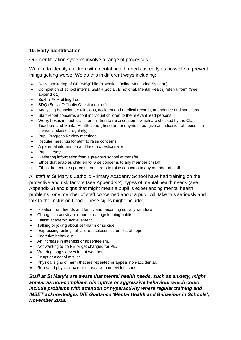#### **10. Early Identification**

Our identification systems involve a range of processes.

We aim to identify children with mental health needs as early as possible to prevent things getting worse. We do this in different ways including:

- Daily monitoring of CPOMS(Child Protection Online Monitoring System )
- Completion of school internal SEMH(Social, Emotional, Mental Health) referral form (See appendix 1)
- Boxhall™ Profiling Tool
- SDQ (Social Difficulty Questionnaires),
- Analysing behaviour, exclusions, accident and medical records, attendance and sanctions.
- Staff report concerns about individual children to the relevant lead persons.
- Worry boxes in each class for children to raise concerns which are checked by the Class Teachers and Mental Health Lead (these are anonymous but give an indication of needs in a particular classes regularly).
- Pupil Progress Review meetings
- Regular meetings for staff to raise concerns.
- A parental information and health questionnaire
- Pupil surveys
- Gathering information from a previous school at transfer.
- Ethos that enables children to raise concerns to any member of staff.
- Ethos that enables parents and carers to raise concerns to any member of staff.

All staff at St Mary's Catholic Primary Academy School have had training on the protective and risk factors (see Appendix 2), types of mental health needs (see Appendix 3) and signs that might mean a pupil is experiencing mental health problems. Any member of staff concerned about a pupil will take this seriously and talk to the Inclusion Lead. These signs might include:

- Isolation from friends and family and becoming socially withdrawn.
- Changes in activity or mood or eating/sleeping habits.
- Falling academic achievement.
- Talking or joking about self-harm or suicide
- Expressing feelings of failure, uselessness or loss of hope.
- Secretive behaviour.
- An increase in lateness or absenteeism.
- Not wanting to do PE or get changed for PE.
- Wearing long sleeves in hot weather.
- Drugs or alcohol misuse.
- Physical signs of harm that are repeated or appear non-accidental.
- Repeated physical pain or nausea with no evident cause.

*Staff at St Mary's are aware that mental health needs, such as anxiety, might appear as non-compliant, disruptive or aggressive behaviour which could include problems with attention or hyperactivity where regular training and INSET acknowledges DfE Guidance 'Mental Health and Behaviour in Schools', November 2018.*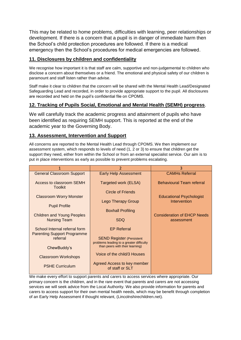This may be related to home problems, difficulties with learning, peer relationships or development. If there is a concern that a pupil is in danger of immediate harm then the School's child protection procedures are followed. If there is a medical emergency then the School's procedures for medical emergencies are followed.

#### **11. Disclosures by children and confidentiality**

We recognise how important it is that staff are calm, supportive and non-judgemental to children who disclose a concern about themselves or a friend. The emotional and physical safety of our children is paramount and staff listen rather than advise.

Staff make it clear to children that the concern will be shared with the Mental Health Lead/Designated Safeguarding Lead and recorded, in order to provide appropriate support to the pupil. All disclosures are recorded and held on the pupil's confidential file on CPOMS.

#### **12. Tracking of Pupils Social, Emotional and Mental Health (SEMH) progress**.

We will carefully track the academic progress and attainment of pupils who have been identified as requiring SEMH support. This is reported at the end of the academic year to the Governing Body.

#### **13. Assessment, Intervention and Support**

All concerns are reported to the Mental Health Lead through CPOMS. We then implement our assessment system, which responds to levels of need (1, 2 or 3) to ensure that children get the support they need, either from within the School or from an external specialist service. Our aim is to put in place interventions as early as possible to prevent problems escalating.

| 1                                                                   | $\overline{2}$                                                              | 3                                                |
|---------------------------------------------------------------------|-----------------------------------------------------------------------------|--------------------------------------------------|
| <b>General Classroom Support</b>                                    | <b>Early Help Assessment</b>                                                | <b>CAMHs Referral</b>                            |
| Access to classroom SEMH<br><b>Toolkit</b>                          | Targeted work (ELSA)                                                        | <b>Behavioural Team referral</b>                 |
|                                                                     | Circle of Friends                                                           |                                                  |
| <b>Classroom Worry Monster</b>                                      |                                                                             | <b>Educational Psychologist</b>                  |
| <b>Pupil Profile</b>                                                | Lego Therapy Group                                                          | Intervention                                     |
|                                                                     | <b>Boxhall Profiling</b>                                                    |                                                  |
| <b>Children and Young Peoples</b><br><b>Nursing Team</b>            | <b>SDQ</b>                                                                  | <b>Consideration of EHCP Needs</b><br>assessment |
| School Internal referral form<br><b>Parenting Support Programme</b> | <b>EP Referral</b>                                                          |                                                  |
| referral                                                            | <b>SEND Register (Persistent)</b>                                           |                                                  |
| ChewBuddy's                                                         | problems leading to a greater difficulty<br>than peers with their learning) |                                                  |
| Classroom Workshops                                                 | Voice of the child/3 Houses                                                 |                                                  |
| <b>PSHE Curriculum</b>                                              | Agreed Access to key member<br>of staff or SLT                              |                                                  |

We make every effort to support parents and carers to access services where appropriate. Our primary concern is the children, and in the rare event that parents and carers are not accessing services we will seek advice from the Local Authority. We also provide information for parents and carers to access support for their own mental health needs, which may be benefit through completion of an Early Help Assessment if thought relevant, (Lincolnshirechildren.net).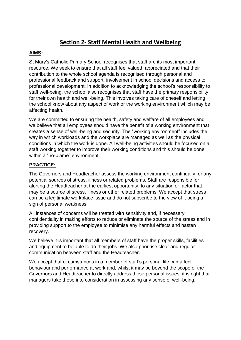## **Section 2- Staff Mental Health and Wellbeing**

#### **AIMS:**

St Mary's Catholic Primary School recognises that staff are its most important resource. We seek to ensure that all staff feel valued, appreciated and that their contribution to the whole school agenda is recognised through personal and professional feedback and support, involvement in school decisions and access to professional development. In addition to acknowledging the school's responsibility to staff well-being, the school also recognises that staff have the primary responsibility for their own health and well-being. This involves taking care of oneself and letting the school know about any aspect of work or the working environment which may be affecting health.

We are committed to ensuring the health, safety and welfare of all employees and we believe that all employees should have the benefit of a working environment that creates a sense of well-being and security. The "working environment" includes the way in which workloads and the workplace are managed as well as the physical conditions in which the work is done. All well-being activities should be focused on all staff working together to improve their working conditions and this should be done within a "no-blame" environment.

#### **PRACTICE:**

The Governors and Headteacher assess the working environment continually for any potential sources of stress, illness or related problems. Staff are responsible for alerting the Headteacher at the earliest opportunity, to any situation or factor that may be a source of stress, illness or other related problems. We accept that stress can be a legitimate workplace issue and do not subscribe to the view of it being a sign of personal weakness.

All instances of concerns will be treated with sensitivity and, if necessary, confidentiality in making efforts to reduce or eliminate the source of the stress and in providing support to the employee to minimise any harmful effects and hasten recovery.

We believe it is important that all members of staff have the proper skills, facilities and equipment to be able to do their jobs. We also prioritise clear and regular communication between staff and the Headteacher.

We accept that circumstances in a member of staff's personal life can affect behaviour and performance at work and, whilst it may be beyond the scope of the Governors and Headteacher to directly address those personal issues, it is right that managers take these into consideration in assessing any sense of well-being.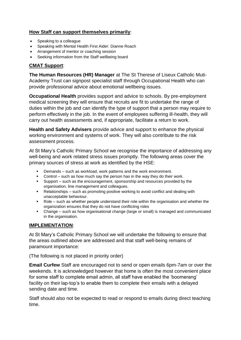#### **How Staff can support themselves primarily**:

- Speaking to a colleague
- Speaking with Mental Health First Aider: Dianne Roach
- Arrangement of mentor or coaching session
- Seeking information from the Staff wellbeing board

#### **CMAT Support**:

**The Human Resources (HR) Manager** at The St Therese of Liseux Catholic Muti-Academy Trust can signpost specialist staff through Occupational Health who can provide professional advice about emotional wellbeing issues.

**Occupational Health** provides support and advice to schools. By pre-employment medical screening they will ensure that recruits are fit to undertake the range of duties within the job and can identify the type of support that a person may require to perform effectively in the job. In the event of employees suffering ill-health, they will carry out health assessments and, if appropriate, facilitate a return to work.

**Health and Safety Advisers** provide advice and support to enhance the physical working environment and systems of work. They will also contribute to the risk assessment process.

At St Mary's Catholic Primary School we recognise the importance of addressing any well-being and work related stress issues promptly. The following areas cover the primary sources of stress at work as identified by the HSE:

- Demands such as workload, work patterns and the work environment.
- Control such as how much say the person has in the way they do their work.
- Support such as the encouragement, sponsorship and resources provided by the organisation, line management and colleagues.
- Relationships such as promoting positive working to avoid conflict and dealing with unacceptable behaviour.
- Role such as whether people understand their role within the organisation and whether the organization ensures that they do not have conflicting roles
- Change such as how organisational change (large or small) is managed and communicated in the organisation.

#### **IMPLEMENTATION**:

At St Mary's Catholic Primary School we will undertake the following to ensure that the areas outlined above are addressed and that staff well-being remains of paramount importance:

(The following is not placed in priority order)

**Email Curfew** Staff are encouraged not to send or open emails 6pm-7am or over the weekends. It is acknowledged however that home is often the most convenient place for some staff to complete email admin, all staff have enabled the 'boomerang' facility on their lap-top's to enable them to complete their emails with a delayed sending date and time.

Staff should also not be expected to read or respond to emails during direct teaching time.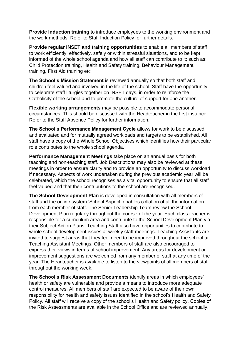**Provide Induction training** to introduce employees to the working environment and the work methods. Refer to Staff Induction Policy for further details.

**Provide regular INSET and training opportunities** to enable all members of staff to work efficiently, effectively, safely or within stressful situations, and to be kept informed of the whole school agenda and how all staff can contribute to it; such as: Child Protection training, Health and Safety training, Behaviour Management training, First Aid training etc

**The School's Mission Statement** is reviewed annually so that both staff and children feel valued and involved in the life of the school. Staff have the opportunity to celebrate staff liturgies together on INSET days, in order to reinforce the Catholicity of the school and to promote the culture of support for one another.

**Flexible working arrangements** may be possible to accommodate personal circumstances. This should be discussed with the Headteacher in the first instance. Refer to the Staff Absence Policy for further information.

**The School's Performance Management Cycle** allows for work to be discussed and evaluated and for mutually agreed workloads and targets to be established. All staff have a copy of the Whole School Objectives which identifies how their particular role contributes to the whole school agenda.

**Performance Management Meetings** take place on an annual basis for both teaching and non-teaching staff. Job Descriptions may also be reviewed at these meetings in order to ensure clarity and to provide an opportunity to discuss workload if necessary. Aspects of work undertaken during the previous academic year will be celebrated, which the school recognises as a vital opportunity to ensure that all staff feel valued and that their contributions to the school are recognised.

**The School Development Plan** is developed in consultation with all members of staff and the online system 'School Aspect' enables collation of all the information from each member of staff. The Senior Leadership Team review the School Development Plan regularly throughout the course of the year. Each class teacher is responsible for a curriculum area and contribute to the School Development Plan via their Subject Action Plans. Teaching Staff also have opportunities to contribute to whole school development issues at weekly staff meetings. Teaching Assistants are invited to suggest areas that they feel need to be improved throughout the school at Teaching Assistant Meetings. Other members of staff are also encouraged to express their views in terms of school improvement. Any areas for development or improvement suggestions are welcomed from any member of staff at any time of the year. The Headteacher is available to listen to the viewpoints of all members of staff throughout the working week.

**The School's Risk Assessment Documents** identify areas in which employees' health or safety are vulnerable and provide a means to introduce more adequate control measures. All members of staff are expected to be aware of their own responsibility for health and safety issues identified in the school's Health and Safety Policy. All staff will receive a copy of the school's Health and Safety policy. Copies of the Risk Assessments are available in the School Office and are reviewed annually.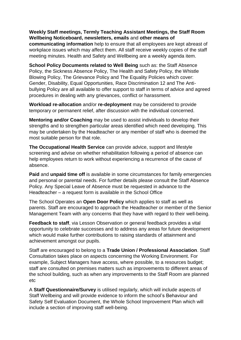#### **Weekly Staff meetings, Termly Teaching Assistant Meetings, the Staff Room Wellbeing Noticeboard, newsletters, emails** and **other means of**

**communicating information** help to ensure that all employees are kept abreast of workplace issues which may affect them. All staff receive weekly copies of the staff meeting minutes. Health and Safety and Wellbeing are a weekly agenda item.

**School Policy Documents related to Well Being** such as: the Staff Absence Policy, the Sickness Absence Policy, The Health and Safety Policy, the Whistle Blowing Policy, The Grievance Policy and The Equality Policies which cover: Gender, Disability, Equal Opportunities, Race Discrimination 12 and The Antibullying Policy are all available to offer support to staff in terms of advice and agreed procedures in dealing with any grievances, conflict or harassment.

**Workload re-allocation** and/or **re-deployment** may be considered to provide temporary or permanent relief, after discussion with the individual concerned.

**Mentoring and/or Coaching** may be used to assist individuals to develop their strengths and to strengthen particular areas identified which need developing. This may be undertaken by the Headteacher or any member of staff who is deemed the most suitable person for that role.

**The Occupational Health Service** can provide advice, support and lifestyle screening and advise on whether rehabilitation following a period of absence can help employees return to work without experiencing a recurrence of the cause of absence.

**Paid** and **unpaid time off** is available in some circumstances for family emergencies and personal or parental needs. For further details please consult the Staff Absence Policy. Any Special Leave of Absence must be requested in advance to the Headteacher – a request form is available in the School Office

The School Operates an **Open Door Policy** which applies to staff as well as parents. Staff are encouraged to approach the Headteacher or member of the Senior Management Team with any concerns that they have with regard to their well-being.

**Feedback to staff**, via Lesson Observation or general feedback provides a vital opportunity to celebrate successes and to address any areas for future development which would make further contributions to raising standards of attainment and achievement amongst our pupils.

Staff are encouraged to belong to a **Trade Union / Professional Association**. Staff Consultation takes place on aspects concerning the Working Environment. For example, Subject Managers have access, where possible, to a resources budget; staff are consulted on premises matters such as improvements to different areas of the school building, such as when any improvements to the Staff Room are planned etc

A **Staff Questionnaire/Survey** is utilised regularly, which will include aspects of Staff Wellbeing and will provide evidence to inform the school's Behaviour and Safety Self Evaluation Document, the Whole School Improvement Plan which will include a section of improving staff well-being.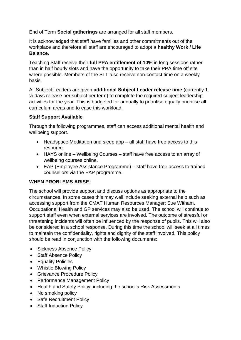End of Term **Social gatherings** are arranged for all staff members.

It is acknowledged that staff have families and other commitments out of the workplace and therefore all staff are encouraged to adopt a **healthy Work / Life Balance.**

Teaching Staff receive their **full PPA entitlement of 10%** in long sessions rather than in half hourly slots and have the opportunity to take their PPA time off site where possible. Members of the SLT also receive non-contact time on a weekly basis.

All Subject Leaders are given **additional Subject Leader release time** (currently 1  $\frac{1}{2}$  days release per subject per term) to complete the required subject leadership activities for the year. This is budgeted for annually to prioritise equally prioritise all curriculum areas and to ease this workload.

#### **Staff Support Available**

Through the following programmes, staff can access additional mental health and wellbeing support.

- Headspace Meditation and sleep app all staff have free access to this resource.
- HAYS online Wellbeing Courses staff have free access to an array of wellbeing courses online.
- EAP (Employee Assistance Programme) staff have free access to trained counsellors via the EAP programme.

#### **WHEN PROBLEMS ARISE**:

The school will provide support and discuss options as appropriate to the circumstances. In some cases this may well include seeking external help such as accessing support from the CMAT Human Resources Manager; Sue Witham. Occupational Health and GP services may also be used. The school will continue to support staff even when external services are involved. The outcome of stressful or threatening incidents will often be influenced by the response of pupils. This will also be considered in a school response. During this time the school will seek at all times to maintain the confidentiality, rights and dignity of the staff involved. This policy should be read in conjunction with the following documents:

- Sickness Absence Policy
- Staff Absence Policy
- Equality Policies
- Whistle Blowing Policy
- Grievance Procedure Policy
- Performance Management Policy
- Health and Safety Policy, including the school's Risk Assessments
- No smoking policy
- Safe Recruitment Policy
- Staff Induction Policy